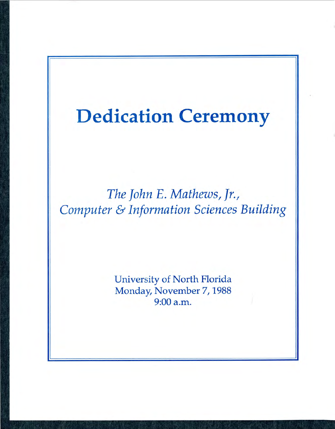# **Dedication Ceremony**

*The John E. Mathews, Jr., Computer* & *Information Sciences Building* 

> University of North Florida Monday, November 7, 1988 9:00 a.m.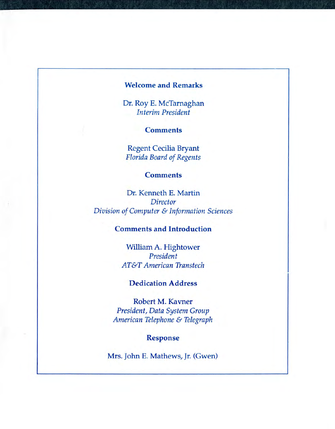#### **Welcome and Remarks**

Dr. Roy E. McTarnaghan *Interim President* 

**Comments** 

Regent Cecilia Bryant **Florida Board of Regents** 

#### **Comments**

Dr. Kenneth E. Martin *Director Division of Computer* & *Information Sciences* 

### **Comments and Introduction**

William A. Hightower *President AT&T American Transtech* 

## **Dedication Address**

Robert M. Kavner *President, Data System Group American Telephone* & *Telegraph* 

**Response** 

Mrs. John E. Mathews, Jr. (Gwen)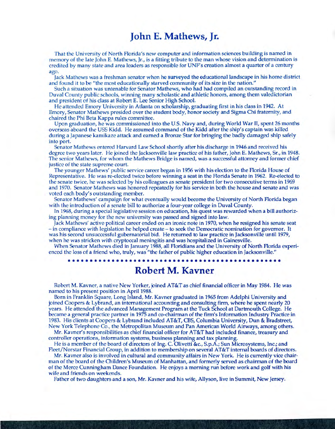# **John E. Mathews, Jr.**

That the University of North Florida's new computer and information sciences building is named in memory of the late John E. Mathews, Jr., is a fitting tribute to the man whose vision and determination is credited by many state and area leaders as responsible for UNF's creation almost a quarter of a century ago.

Jack Mathews was a freshman senator when he surveyed the educational landscape in his home district and found it to be "the most educationally starved community of its size in the nation."

Such a situation was untenable for Senator Mathews, who had had compiled an outstanding record in Duval County public schools, winning many scholastic and athletic honors, among them valedictorian and president of his class at Robert E. Lee Senior High School.

He attended Emory University in Atlanta on scholarship, graduating first in his class in 1942. At Emory, Senator Mathews presided over the student body, honor society and Sigma Chi fraternity, and chaired the Phi Beta Kappa rules committee.

Upon graduation, he was commissioned into the U.S. Navy and, during World War II, spent 26 months overseas aboard the USS Kidd. He assumed command of the Kidd after the ship's captain was killed during a Japanese kamikaze attack and earned a Bronze Star for bringing the badly damaged ship safely into port.

Senator Mathews entered Harvard Law School shortly after his discharge in 1946 and received his degree two years later. He joined the Jacksonville law practice of his father, John E. Mathews, Sr., in 1948. The senior Mathews, for whom the Mathews Bridge is named, was a successful attorney and former chief justice of the state supreme court.

The younger Mathews' public service career began in 1956 with his election to the Florida House of Representative. He was re-elected twice before winning a seat in the Florida Senate in 1962. Re-elected to the senate twice, he was selected by his colleagues as senate president for two consecutive terms in 1969 and 1970. Senator Mathews was honored repeatedly for his service in both the house and senate and was voted each body's outstanding member.

Senator Mathews' campaign for what eventually would become the University of North Florida began with the introduction of a senate bill to authorize a four-year college in Duval County.

In 1968, during a special legislative session on education, his quest was rewarded when a bill authorizing planning money for the new university was passed and signed into law.

Jack Mathews' active political career ended on an ironic note in 1970, when he resigned his senate seat - in compliance with legislation he helped create - to seek the Democratic nomination for governor. It was his second unsuccessful gubernatorial bid. He returned to law practice in Jacksonville until 1979, when he was stricken with cryptoccal meningitis and was hospitalized in Gainesville.

When Senator Mathews died in January 1988, all Floridians and the University of North Florida experienced the loss of a friend who, truly, was "the father of public higher education in Jacksonville."

••••• •••• •• ••• •• •••••• •• ••••••••••••••••••• ••••••

# **Robert M. Kavner**

Robert M. Kavner, a native New Yorker, joined AT&T as chief financial officer in May 1984. He was named to his present position in April 1988.

Born in Franklin Square, Long Island, Mr. Kavner graduated in 1965 from Adelphi University and joined Coopers & Lybrand, an international accounting and consulting firm, where he spent nearly 20 years. He attended the advanced Management Program at the Tuck School at Dartmouth College. He became a general practice partner in 1975 and co-chairman of the firm's Information Industry Practice in 1983. His clients at Coopers & Lybrand included AT&T, CBS, Columbia University, Dun & Bradstreet, New York Telephone Co., the Metropolitan Museum and Pan American World Airways, among others.

Mr. Kavner's responsibilities as chief financial officer for AT&T had included finance, treasury and controller operations, information systems, business planning and tax planning.

He is a member of the board of directors of Ing. C. Olivetti &c., S.p.A.; Sun Microsystems, Inc.; and Fleet/Norstar Financial Group, in addition to membership on several AT&T internal boards of directors.

Mr. Kavner also is involved in cultural and community affairs in New York. He is currently vice chairman of the board of the Children's Museum of Manhattan, and formerly served as chairman of the board of the Merce Cunningham Dance Foundation. He enjoys a morning run before work and golf with his wife and friends on weekends.

Father of two daughters and a son, Mr. Kavner and his wife, Allyson, live in Summit, New Jersey.